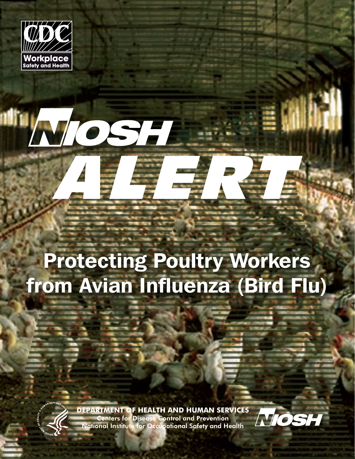

# Protecting Poultry Workers from Avian Influenza (Bird Flu)

TOSH



**DEPARTMENT OF HEALTH AND HUMAN SERVICES** Centers for Disease Control and Prevention National Institute for Occupational Safety and Health

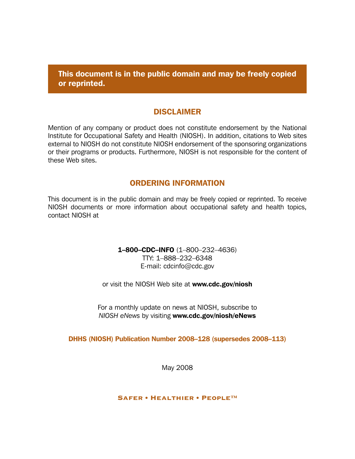This document is in the public domain and may be freely copied or reprinted.

#### DISCLAIMER

Mention of any company or product does not constitute endorsement by the National Institute for Occupational Safety and Health (NIOSH). In addition, citations to Web sites external to NIOSH do not constitute NIOSH endorsement of the sponsoring organizations or their programs or products. Furthermore, NIOSH is not responsible for the content of these Web sites.

#### ORDERING INFORMATION

This document is in the public domain and may be freely copied or reprinted. To receive NIOSH documents or more information about occupational safety and health topics, contact NIOSH at

> 1–800–CDC–INFO (1–800–232–4636) TTY: 1–888–232–6348 E-mail: cdcinfo@cdc.gov

or visit the NIOSH Web site at www.cdc.gov/niosh

For a monthly update on news at NIOSH, subscribe to *NIOSH eNews* by visiting www.cdc.gov/niosh/eNews

DHHS (NIOSH) Publication Number 2008–128 (supersedes 2008–113)

May 2008

#### Safer • Healthier • People™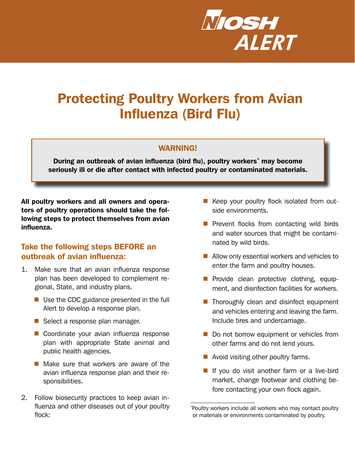

# Protecting Poultry Workers from Avian Influenza (Bird Flu)

#### WARNING!

During an outbreak of avian influenza (bird flu), poultry workers<sup>\*</sup> may become seriously ill or die after contact with infected poultry or contaminated materials.

All poultry workers and all owners and operators of poultry operations should take the following steps to protect themselves from avian influenza.

# Take the following steps BEFORE an outbreak of avian influenza:

- 1. Make sure that an avian influenza response plan has been developed to complement regional, State, and industry plans.
	- $\blacksquare$  Use the CDC guidance presented in the full Alert to develop a response plan.
	- Select a response plan manager.
	- Coordinate your avian influenza response plan with appropriate State animal and public health agencies.
	- $\blacksquare$  Make sure that workers are aware of the avian influenza response plan and their responsibilities.
- 2. Follow biosecurity practices to keep avian influenza and other diseases out of your poultry flock:
- Keep your poultry flock isolated from outside environments.
- $\blacksquare$  Prevent flocks from contacting wild birds and water sources that might be contaminated by wild birds.
- Allow only essential workers and vehicles to enter the farm and poultry houses.
- **Provide clean protective clothing, equip**ment, and disinfection facilities for workers.
- $\blacksquare$  Thoroughly clean and disinfect equipment and vehicles entering and leaving the farm. Include tires and undercarriage.
- Do not borrow equipment or vehicles from other farms and do not lend yours.
- Avoid visiting other poultry farms.
- If you do visit another farm or a live-bird market, change footwear and clothing before contacting your own flock again.

<sup>\*</sup> Poultry workers include all workers who may contact poultry or materials or environments contaminated by poultry.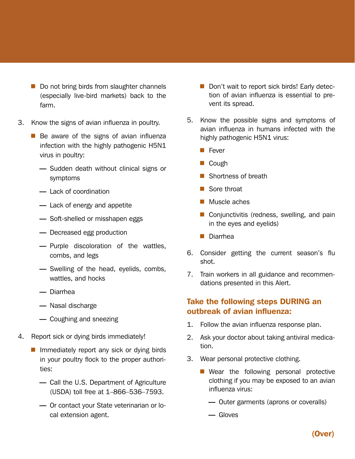- Do not bring birds from slaughter channels (especially live-bird markets) back to the farm.
- 3. Know the signs of avian influenza in poultry.
	- $\blacksquare$  Be aware of the signs of avian influenza infection with the highly pathogenic H5N1 virus in poultry:
		- Sudden death without clinical signs or symptoms
		- Lack of coordination
		- Lack of energy and appetite
		- Soft-shelled or misshapen eggs
		- Decreased egg production
		- Purple discoloration of the wattles, combs, and legs
		- Swelling of the head, eyelids, combs, wattles, and hocks
		- Diarrhea
		- Nasal discharge
		- Coughing and sneezing
- 4. Report sick or dying birds immediately!
	- $\blacksquare$  Immediately report any sick or dying birds in your poultry flock to the proper authorities:
		- Call the U.S. Department of Agriculture (USDA) toll free at 1–866–536–7593.
		- Or contact your State veterinarian or local extension agent.
- Don't wait to report sick birds! Early detection of avian influenza is essential to prevent its spread.
- 5. Know the possible signs and symptoms of avian influenza in humans infected with the highly pathogenic H5N1 virus:
	- **Fever**
	- Cough
	- Shortness of breath
	- Sore throat
	- **Muscle aches**
	- Conjunctivitis (redness, swelling, and pain in the eyes and eyelids)
	- Diarrhea
- 6. Consider getting the current season's flu shot.
- 7. Train workers in all guidance and recommendations presented in this Alert.

# Take the following steps DURING an outbreak of avian influenza:

- 1. Follow the avian influenza response plan.
- 2. Ask your doctor about taking antiviral medication.
- 3. Wear personal protective clothing.
	- Wear the following personal protective clothing if you may be exposed to an avian influenza virus:
		- Outer garments (aprons or coveralls)
		- Gloves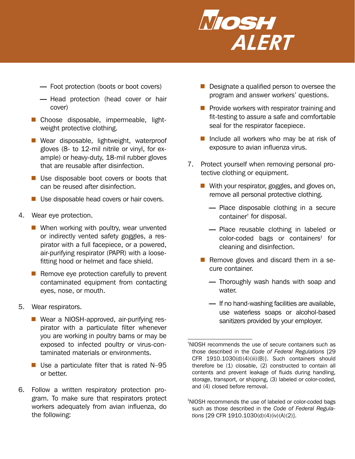

- Foot protection (boots or boot covers)
- Head protection (head cover or hair cover)
- Choose disposable, impermeable, lightweight protective clothing.
- Wear disposable, lightweight, waterproof gloves (8- to 12-mil nitrile or vinyl, for example) or heavy-duty, 18-mil rubber gloves that are reusable after disinfection.
- Use disposable boot covers or boots that can be reused after disinfection.
- Use disposable head covers or hair covers.
- 4. Wear eye protection.
	- When working with poultry, wear unvented or indirectly vented safety goggles, a respirator with a full facepiece, or a powered, air-purifying respirator (PAPR) with a loosefitting hood or helmet and face shield.
	- $\blacksquare$  Remove eye protection carefully to prevent contaminated equipment from contacting eyes, nose, or mouth.
- 5. Wear respirators.
	- Wear a NIOSH-approved, air-purifying respirator with a particulate filter whenever you are working in poultry barns or may be exposed to infected poultry or virus-contaminated materials or environments.
	- $\blacksquare$  Use a particulate filter that is rated N-95 or better.
- 6. Follow a written respiratory protection program. To make sure that respirators protect workers adequately from avian influenza, do the following:
- Designate a qualified person to oversee the program and answer workers' questions.
- $\blacksquare$  Provide workers with respirator training and fit-testing to assure a safe and comfortable seal for the respirator facepiece.
- Include all workers who may be at risk of exposure to avian influenza virus.
- 7. Protect yourself when removing personal protective clothing or equipment.
	- With your respirator, goggles, and gloves on, remove all personal protective clothing.
		- Place disposable clothing in a secure container† for disposal.
		- Place reusable clothing in labeled or color-coded bags or containers<sup>‡</sup> for cleaning and disinfection.
	- Remove gloves and discard them in a secure container.
		- Thoroughly wash hands with soap and water.
		- If no hand-washing facilities are available, use waterless soaps or alcohol-based sanitizers provided by your employer.

<sup>†</sup> NIOSH recommends the use of secure containers such as those described in the *Code of Federal Regulations* [29 CFR 1910.1030(d)(4)(iii)(B)]. Such containers should therefore be (1) closable, (2) constructed to contain all contents and prevent leakage of fluids during handling, storage, transport, or shipping, (3) labeled or color-coded, and (4) closed before removal.

<sup>‡</sup> NIOSH recommends the use of labeled or color-coded bags such as those described in the *Code of Federal Regulations* [29 CFR 1910.1030(d)(4)(iv)(A)(2)].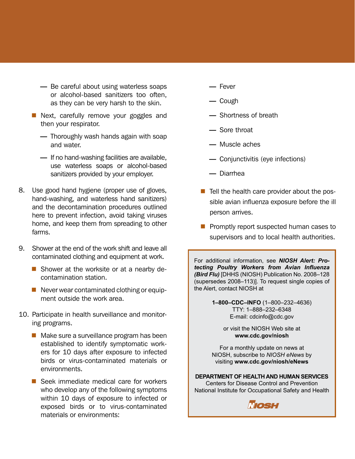- Be careful about using waterless soaps or alcohol-based sanitizers too often, as they can be very harsh to the skin.
- Next, carefully remove your goggles and then your respirator.
	- Thoroughly wash hands again with soap and water.
	- If no hand-washing facilities are available, use waterless soaps or alcohol-based sanitizers provided by your employer.
- 8. Use good hand hygiene (proper use of gloves, hand-washing, and waterless hand sanitizers) and the decontamination procedures outlined here to prevent infection, avoid taking viruses home, and keep them from spreading to other farms.
- 9. Shower at the end of the work shift and leave all contaminated clothing and equipment at work.
	- Shower at the worksite or at a nearby decontamination station.
	- $\blacksquare$  Never wear contaminated clothing or equipment outside the work area.
- 10. Participate in health surveillance and monitoring programs.
	- $\blacksquare$  Make sure a surveillance program has been established to identify symptomatic workers for 10 days after exposure to infected birds or virus-contaminated materials or environments.
	- Seek immediate medical care for workers who develop any of the following symptoms within 10 days of exposure to infected or exposed birds or to virus-contaminated materials or environments:
- Fever
- Cough
- Shortness of breath
- Sore throat
- Muscle aches
- Conjunctivitis (eye infections)
- Diarrhea
- $\blacksquare$  Tell the health care provider about the possible avian influenza exposure before the ill person arrives.
- **Promptly report suspected human cases to** supervisors and to local health authorities.

For additional information, see *NIOSH Alert: Protecting Poultry Workers from Avian Influenza (Bird Flu)* [DHHS (NIOSH) Publication No. 2008–128 (supersedes 2008–113)]. To request single copies of the Alert, contact NIOSH at

> **1–800–CDC–INFO** (1–800–232–4636) TTY: 1–888–232–6348 E-mail: cdcinfo@cdc.gov

> > or visit the NIOSH Web site at **www.cdc.gov/niosh**

For a monthly update on news at NIOSH, subscribe to *NIOSH eNews* by visiting **www.cdc.gov/niosh/eNews**

**DEPARTMENT OF HEALTH AND HUMAN SERVICES** Centers for Disease Control and Prevention National Institute for Occupational Safety and Health

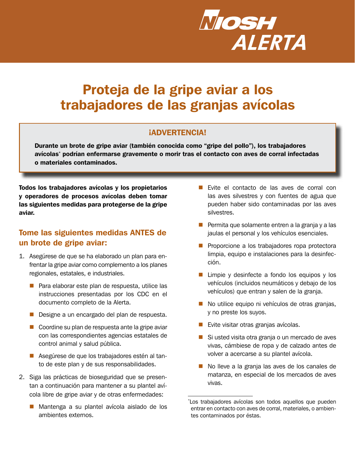

# Proteja de la gripe aviar a los trabajadores de las granjas avícolas

### ¡ADVERTENCIA!

Durante un brote de gripe aviar (también conocida como "gripe del pollo"), los trabajadores avícolas\* podrían enfermarse gravemente o morir tras el contacto con aves de corral infectadas o materiales contaminados.

Todos los trabajadores avícolas y los propietarios y operadores de procesos avícolas deben tomar las siguientes medidas para protegerse de la gripe aviar.

# Tome las siguientes medidas ANTES de un brote de gripe aviar:

- 1. Asegúrese de que se ha elaborado un plan para enfrentar la gripe aviar como complemento a los planes regionales, estatales, e industriales.
	- Para elaborar este plan de respuesta, utilice las instrucciones presentadas por los CDC en el documento completo de la Alerta.
	- Designe a un encargado del plan de respuesta.
	- Coordine su plan de respuesta ante la gripe aviar con las correspondientes agencias estatales de control animal y salud pública.
	- Asegúrese de que los trabajadores estén al tanto de este plan y de sus responsabilidades.
- 2. Siga las prácticas de bioseguridad que se presentan a continuación para mantener a su plantel avícola libre de gripe aviar y de otras enfermedades:
	- Mantenga a su plantel avícola aislado de los ambientes externos.
- Evite el contacto de las aves de corral con las aves silvestres y con fuentes de agua que pueden haber sido contaminadas por las aves silvestres.
- **Permita que solamente entren a la granja y a las** jaulas el personal y los vehículos esenciales.
- **Proporcione a los trabajadores ropa protectora** limpia, equipo e instalaciones para la desinfección.
- $\blacksquare$  Limpie y desinfecte a fondo los equipos y los vehículos (incluidos neumáticos y debajo de los vehículos) que entran y salen de la granja.
- No utilice equipo ni vehículos de otras granjas, y no preste los suyos.
- **Exite visitar otras granjas avícolas.**
- Si usted visita otra granja o un mercado de aves vivas, cámbiese de ropa y de calzado antes de volver a acercarse a su plantel avícola.
- No lleve a la granja las aves de los canales de matanza, en especial de los mercados de aves vivas.

<sup>\*</sup> Los trabajadores avícolas son todos aquellos que pueden entrar en contacto con aves de corral, materiales, o ambientes contaminados por éstas.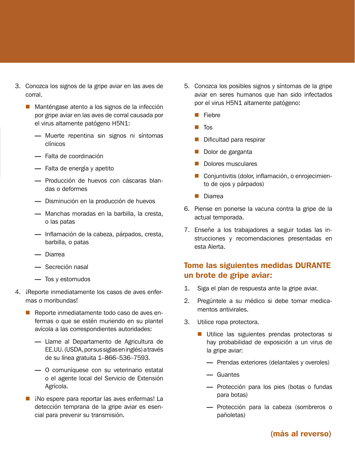- 3. Conozca los signos de la gripe aviar en las aves de corral.
	- Manténgase atento a los signos de la infección por gripe aviar en las aves de corral causada por el virus altamente patógeno H5N1:
		- Muerte repentina sin signos ni síntomas clínicos
		- Falta de coordinación
		- Falta de energía y apetito
		- Producción de huevos con cáscaras blandas o deformes
		- Disminución en la producción de huevos
		- Manchas moradas en la barbilla, la cresta, o las patas
		- Inflamación de la cabeza, párpados, cresta, barbilla, o patas
		- Diarrea
		- Secreción nasal
		- Tos y estornudos
- 4. ¡Reporte inmediatamente los casos de aves enfermas o moribundas!
	- Reporte inmediatamente todo caso de aves enfermas o que se estén muriendo en su plantel avícola a las correspondientes autoridades:
		- Llame al Departamento de Agricultura de EE.UU. (USDA, por sus siglas en inglés) a través de su línea gratuita 1–866–536–7593.
		- O comuníquese con su veterinario estatal o el agente local del Servicio de Extensión Agrícola.
	- iNo espere para reportar las aves enfermas! La detección temprana de la gripe aviar es esencial para prevenir su transmisión.
- 5. Conozca los posibles signos y síntomas de la gripe aviar en seres humanos que han sido infectados por el virus H5N1 altamente patógeno:
	- **Fiebre**
	- $\blacksquare$  Tos
	- Dificultad para respirar
	- Dolor de garganta
	- Dolores musculares
	- Conjuntivitis (dolor, inflamación, o enrojecimiento de ojos y párpados)
	- **Diarrea**
- 6. Piense en ponerse la vacuna contra la gripe de la actual temporada.
- 7. Enseñe a los trabajadores a seguir todas las instrucciones y recomendaciones presentadas en esta Alerta.

# Tome las siguientes medidas DURANTE un brote de gripe aviar:

- 1. Siga el plan de respuesta ante la gripe aviar.
- 2. Pregúntele a su médico si debe tomar medicamentos antivirales.
- 3. Utilice ropa protectora.
	- Utilice las siguientes prendas protectoras si hay probabilidad de exposición a un virus de la gripe aviar:
		- Prendas exteriores (delantales y overoles)
		- Guantes
		- Protección para los pies (botas o fundas para botas)
		- Protección para la cabeza (sombreros o pañoletas)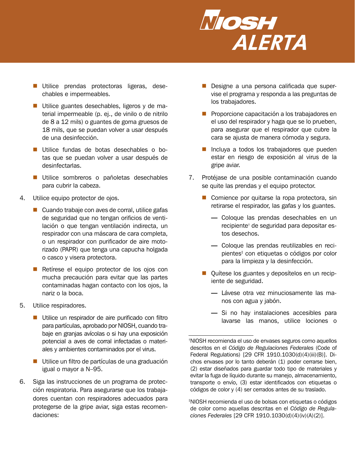

- Utilice prendas protectoras ligeras, desechables e impermeables.
- Utilice guantes desechables, ligeros y de material impermeable (p. ej., de vinilo o de nitrilo de 8 a 12 mils) o guantes de goma gruesos de 18 mils, que se puedan volver a usar después de una desinfección.
- Utilice fundas de botas desechables o botas que se puedan volver a usar después de desinfectarlas.
- Utilice sombreros o pañoletas desechables para cubrir la cabeza.
- 4. Utilice equipo protector de ojos.
	- Cuando trabaje con aves de corral, utilice gafas de seguridad que no tengan orificios de ventilación o que tengan ventilación indirecta, un respirador con una máscara de cara completa, o un respirador con purificador de aire motorizado (PAPR) que tenga una capucha holgada o casco y visera protectora.
	- Retírese el equipo protector de los ojos con mucha precaución para evitar que las partes contaminadas hagan contacto con los ojos, la nariz o la boca.
- 5. Utilice respiradores.
	- Utilice un respirador de aire purificado con filtro para partículas, aprobado por NIOSH, cuando trabaje en granjas avícolas o si hay una exposición potencial a aves de corral infectadas o materiales y ambientes contaminados por el virus.
	- Utilice un filtro de partículas de una graduación igual o mayor a N–95.
- 6. Siga las instrucciones de un programa de protección respiratoria. Para asegurarse que los trabajadores cuentan con respiradores adecuados para protegerse de la gripe aviar, siga estas recomendaciones:
- Designe a una persona calificada que supervise el programa y responda a las preguntas de los trabajadores.
- **Proporcione capacitación a los trabajadores en** el uso del respirador y haga que se lo prueben, para asegurar que el respirador que cubre la cara se ajusta de manera cómoda y segura.
- Incluya a todos los trabajadores que pueden estar en riesgo de exposición al virus de la gripe aviar.
- 7. Protéjase de una posible contaminación cuando se quite las prendas y el equipo protector.
	- Comience por quitarse la ropa protectora, sin retirarse el respirador, las gafas y los guantes.
		- Coloque las prendas desechables en un recipiente† de seguridad para depositar estos desechos.
		- Coloque las prendas reutilizables en recipientes‡ con etiquetas o códigos por color para la limpieza y la desinfección.
	- Quítese los guantes y deposítelos en un recipiente de seguridad.
		- Lávese otra vez minuciosamente las manos con agua y jabón.
		- Si no hay instalaciones accesibles para lavarse las manos, utilice lociones o

‡ NIOSH recomienda el uso de bolsas con etiquetas o códigos de color como aquellas descritas en el *Código de Regulaciones Federales* [29 CFR 1910.1030(d)(4)(iv)(A)(2)].

<sup>†</sup> NIOSH recomienda el uso de envases seguros como aquellos descritos en el *Código de Regulaciones Federales* (Code of Federal Regulations) [29 CFR 1910.1030(d)(4)(iii)(B)]. Dichos envases por lo tanto deberán (1) poder cerrarse bien, (2) estar diseñados para guardar todo tipo de materiales y evitar la fuga de líquido durante su manejo, almacenamiento, transporte o envío, (3) estar identificados con etiquetas o códigos de color y (4) ser cerrados antes de su traslado.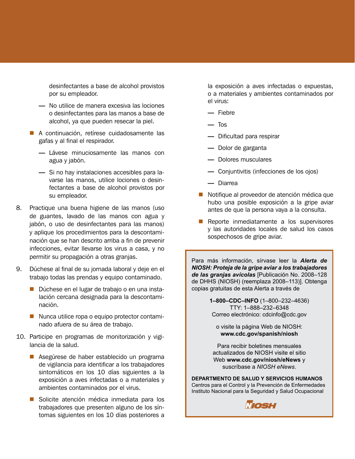desinfectantes a base de alcohol provistos por su empleador.

- No utilice de manera excesiva las lociones o desinfectantes para las manos a base de alcohol, ya que pueden resecar la piel.
- A continuación, retírese cuidadosamente las gafas y al final el respirador.
	- Lávese minuciosamente las manos con agua y jabón.
	- Si no hay instalaciones accesibles para lavarse las manos, utilice lociones o desinfectantes a base de alcohol provistos por su empleador.
- 8. Practique una buena higiene de las manos (uso de guantes, lavado de las manos con agua y jabón, o uso de desinfectantes para las manos) y aplique los procedimientos para la descontaminación que se han descrito arriba a fin de prevenir infecciones, evitar llevarse los virus a casa, y no permitir su propagación a otras granjas.
- 9. Dúchese al final de su jornada laboral y deje en el trabajo todas las prendas y equipo contaminado.
	- Dúchese en el lugar de trabajo o en una instalación cercana designada para la descontaminación.
	- Nunca utilice ropa o equipo protector contaminado afuera de su área de trabajo.
- 10. Participe en programas de monitorización y vigilancia de la salud.
	- Asegúrese de haber establecido un programa de vigilancia para identificar a los trabajadores sintomáticos en los 10 días siguientes a la exposición a aves infectadas o a materiales y ambientes contaminados por el virus.
	- Solicite atención médica inmediata para los trabajadores que presenten alguno de los síntomas siguientes en los 10 días posteriores a

la exposición a aves infectadas o expuestas, o a materiales y ambientes contaminados por el virus:

- Fiebre
- Tos
- Dificultad para respirar
- Dolor de garganta
- Dolores musculares
- Conjuntivitis (infecciones de los ojos)
- Diarrea
- Notifique al proveedor de atención médica que hubo una posible exposición a la gripe aviar antes de que la persona vaya a la consulta.
- Reporte inmediatamente a los supervisores y las autoridades locales de salud los casos sospechosos de gripe aviar.

Para más información, sírvase leer la *Alerta de NIOSH: Proteja de la gripe aviar a los trabajadores de las granjas avícolas* [Publicación No. 2008–128 de DHHS (NIOSH) (reemplaza 2008–113)]. Obtenga copias gratuitas de esta Alerta a través de

> **1–800–CDC–INFO** (1–800–232–4636) TTY: 1–888–232–6348 Correo electrónico: cdcinfo@cdc.gov

o visite la página Web de NIOSH: **www.cdc.gov/spanish/niosh**

Para recibir boletines mensuales actualizados de NIOSH visite el sitio Web **www.cdc.gov/niosh/eNews** y suscríbase a *NIOSH eNews*.

**DEPARTMENTO DE SALUD Y SERVICIOS HUMANOS** Centros para el Control y la Prevención de Enfermedades Instituto Nacional para la Seguridad y Salud Ocupacional

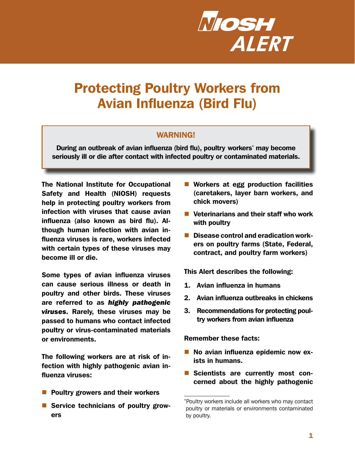

# Protecting Poultry Workers from Avian Influenza (Bird Flu)

#### WARNING!

During an outbreak of avian influenza (bird flu), poultry workers\* may become seriously ill or die after contact with infected poultry or contaminated materials.

The National Institute for Occupational Safety and Health (NIOSH) requests help in protecting poultry workers from infection with viruses that cause avian influenza (also known as bird flu). Although human infection with avian influenza viruses is rare, workers infected with certain types of these viruses may become ill or die.

Some types of avian influenza viruses can cause serious illness or death in poultry and other birds. These viruses are referred to as *highly pathogenic viruses.* Rarely, these viruses may be passed to humans who contact infected poultry or virus-contaminated materials or environments.

The following workers are at risk of infection with highly pathogenic avian influenza viruses:

- $\blacksquare$  Poultry growers and their workers
- Service technicians of poultry growers
- Workers at egg production facilities (caretakers, layer barn workers, and chick movers)
- Veterinarians and their staff who work with poultry
- Disease control and eradication workers on poultry farms (State, Federal, contract, and poultry farm workers)

This Alert describes the following:

- 1. Avian influenza in humans
- 2. Avian influenza outbreaks in chickens
- 3. Recommendations for protecting poultry workers from avian influenza

Remember these facts:

- No avian influenza epidemic now exists in humans.
- Scientists are currently most concerned about the highly pathogenic

<sup>\*</sup>Poultry workers include all workers who may contact poultry or materials or environments contaminated by poultry.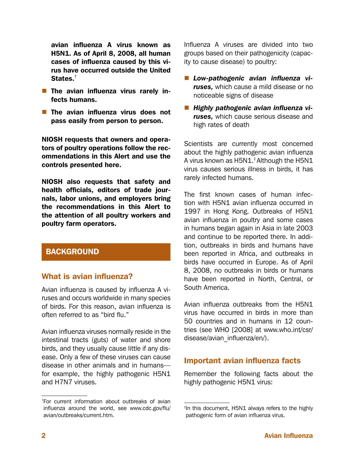avian influenza A virus known as H5N1. As of April 8, 2008, all human cases of influenza caused by this virus have occurred outside the United States.<sup>†</sup>

- $\blacksquare$  The avian influenza virus rarely infects humans.
- $\blacksquare$  The avian influenza virus does not pass easily from person to person.

NIOSH requests that owners and operators of poultry operations follow the recommendations in this Alert and use the controls presented here.

NIOSH also requests that safety and health officials, editors of trade journals, labor unions, and employers bring the recommendations in this Alert to the attention of all poultry workers and poultry farm operators.

# BACKGROUND

#### What is avian influenza?

Avian influenza is caused by influenza A viruses and occurs worldwide in many species of birds. For this reason, avian influenza is often referred to as "bird flu."

Avian influenza viruses normally reside in the intestinal tracts (guts) of water and shore birds, and they usually cause little if any disease. Only a few of these viruses can cause disease in other animals and in humans for example, the highly pathogenic H5N1 and H7N7 viruses.

Influenza A viruses are divided into two groups based on their pathogenicity (capacity to cause disease) to poultry:

- *Low-pathogenic avian influenza viruses,* which cause a mild disease or no noticeable signs of disease
- *Highly pathogenic avian influenza viruses,* which cause serious disease and high rates of death

Scientists are currently most concerned about the highly pathogenic avian influenza A virus known as H5N1.‡Although the H5N1 virus causes serious illness in birds, it has rarely infected humans.

The first known cases of human infection with H5N1 avian influenza occurred in 1997 in Hong Kong. Outbreaks of H5N1 avian influenza in poultry and some cases in humans began again in Asia in late 2003 and continue to be reported there. In addition, outbreaks in birds and humans have been reported in Africa, and outbreaks in birds have occurred in Europe. As of April 8, 2008, no outbreaks in birds or humans have been reported in North, Central, or South America.

Avian influenza outbreaks from the H5N1 virus have occurred in birds in more than 50 countries and in humans in 12 countries (see WHO [2008] at [www.who.int/csr/](http://www.who.int/csr/disease/avian_influenza/en/) [disease/avian\\_influenza/en/\)](http://www.who.int/csr/disease/avian_influenza/en/).

#### Important avian influenza facts

Remember the following facts about the highly pathogenic H5N1 virus:

<sup>†</sup> For current information about outbreaks of avian influenza around the world, see [www.cdc.gov/flu/](http://www.cdc.gov/flu/avian/outbreaks/current.htm) [avian/outbreaks/current.htm](http://www.cdc.gov/flu/avian/outbreaks/current.htm).

<sup>‡</sup> In this document, H5N1 always refers to the highly pathogenic form of avian influenza virus.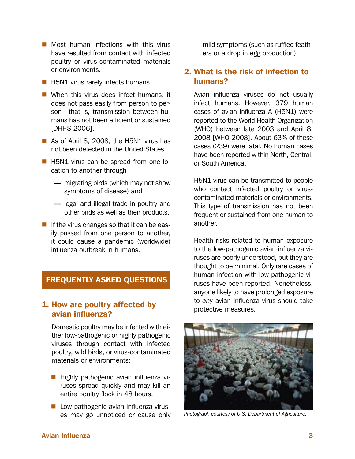- $\blacksquare$  Most human infections with this virus have resulted from contact with infected poultry or virus-contaminated materials or environments.
- **H5N1** virus rarely infects humans.
- When this virus does infect humans, it does not pass easily from person to person—that is, transmission between humans has not been efficient or sustained [DHHS 2006].
- As of April 8, 2008, the H5N1 virus has not been detected in the United States.
- **H5N1** virus can be spread from one location to another through
	- migrating birds (which may not show symptoms of disease) and
	- legal and illegal trade in poultry and other birds as well as their products.
- If the virus changes so that it can be easily passed from one person to another, it could cause a pandemic (worldwide) influenza outbreak in humans.

# FREQUENTLY ASKED QUESTIONS

### 1. How are poultry affected by avian influenza?

Domestic poultry may be infected with either low-pathogenic or highly pathogenic viruses through contact with infected poultry, wild birds, or virus-contaminated materials or environments:

- **Highly pathogenic avian influenza vi**ruses spread quickly and may kill an entire poultry flock in 48 hours.
- **Low-pathogenic avian influenza virus**es may go unnoticed or cause only

mild symptoms (such as ruffled feathers or a drop in egg production).

### 2. What is the risk of infection to humans?

Avian influenza viruses do not usually infect humans. However, 379 human cases of avian influenza A (H5N1) were reported to the World Health Organization (WHO) between late 2003 and April 8, 2008 [WHO 2008]. About 63% of these cases (239) were fatal. No human cases have been reported within North, Central, or South America.

H5N1 virus can be transmitted to people who contact infected poultry or viruscontaminated materials or environments. This type of transmission has not been frequent or sustained from one human to another.

Health risks related to human exposure to the low-pathogenic avian influenza viruses are poorly understood, but they are thought to be minimal. Only rare cases of human infection with low-pathogenic viruses have been reported. Nonetheless, anyone likely to have prolonged exposure to *any* avian influenza virus should take protective measures.



*Photograph courtesy of U.S. Department of Agriculture.*

#### Avian Influenza 3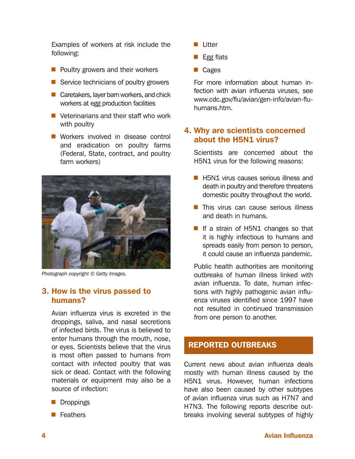Examples of workers at risk include the following:

- $\blacksquare$  Poultry growers and their workers
- Service technicians of poultry growers
- Caretakers, layer barn workers, and chick workers at egg production facilities
- Veterinarians and their staff who work with poultry
- Workers involved in disease control and eradication on poultry farms (Federal, State, contract, and poultry farm workers)



*Photograph copyright © Getty Images.*

# 3. How is the virus passed to humans?

Avian influenza virus is excreted in the droppings, saliva, and nasal secretions of infected birds. The virus is believed to enter humans through the mouth, nose, or eyes. Scientists believe that the virus is most often passed to humans from contact with infected poultry that was sick or dead. Contact with the following materials or equipment may also be a source of infection:

- **Droppings**
- **Feathers**
- **Litter**
- $\blacksquare$  Egg flats
- **Cages**

For more information about human infection with avian influenza viruses, see [www.cdc.gov/flu/avian/gen-info/avian-flu](http://www.cdc.gov/flu/avian/gen-info/avian-flu-humans.htm)[humans.htm](http://www.cdc.gov/flu/avian/gen-info/avian-flu-humans.htm).

# 4. Why are scientists concerned about the H5N1 virus?

Scientists are concerned about the H5N1 virus for the following reasons:

- **H5N1** virus causes serious illness and death in poultry and therefore threatens domestic poultry throughout the world.
- $\blacksquare$  This virus can cause serious illness and death in humans.
- If a strain of H5N1 changes so that it is highly infectious to humans and spreads easily from person to person, it could cause an influenza pandemic.

Public health authorities are monitoring outbreaks of human illness linked with avian influenza. To date, human infections with highly pathogenic avian influenza viruses identified since 1997 have not resulted in continued transmission from one person to another.

# REPORTED OUTBREAKS

Current news about avian influenza deals mostly with human illness caused by the H5N1 virus. However, human infections have also been caused by other subtypes of avian influenza virus such as H7N7 and H7N3. The following reports describe outbreaks involving several subtypes of highly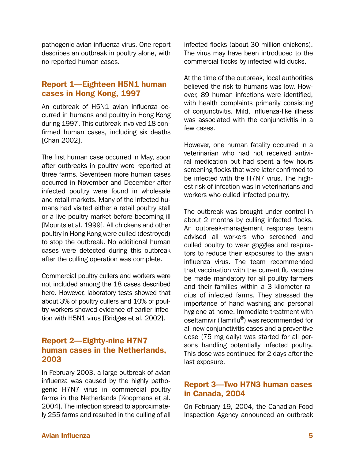pathogenic avian influenza virus. One report describes an outbreak in poultry alone, with no reported human cases.

# Report 1—Eighteen H5N1 human cases in Hong Kong, 1997

An outbreak of H5N1 avian influenza occurred in humans and poultry in Hong Kong during 1997. This outbreak involved 18 confirmed human cases, including six deaths [Chan 2002].

The first human case occurred in May, soon after outbreaks in poultry were reported at three farms. Seventeen more human cases occurred in November and December after infected poultry were found in wholesale and retail markets. Many of the infected humans had visited either a retail poultry stall or a live poultry market before becoming ill [Mounts et al. 1999]. All chickens and other poultry in Hong Kong were culled (destroyed) to stop the outbreak. No additional human cases were detected during this outbreak after the culling operation was complete.

Commercial poultry cullers and workers were not included among the 18 cases described here. However, laboratory tests showed that about 3% of poultry cullers and 10% of poultry workers showed evidence of earlier infection with H5N1 virus [Bridges et al. 2002].

# Report 2—Eighty-nine H7N7 human cases in the Netherlands, 2003

In February 2003, a large outbreak of avian influenza was caused by the highly pathogenic H7N7 virus in commercial poultry farms in the Netherlands [Koopmans et al. 2004]. The infection spread to approximately 255 farms and resulted in the culling of all

infected flocks (about 30 million chickens). The virus may have been introduced to the commercial flocks by infected wild ducks.

At the time of the outbreak, local authorities believed the risk to humans was low. However, 89 human infections were identified, with health complaints primarily consisting of conjunctivitis. Mild, influenza-like illness was associated with the conjunctivitis in a few cases.

However, one human fatality occurred in a veterinarian who had not received antiviral medication but had spent a few hours screening flocks that were later confirmed to be infected with the H7N7 virus. The highest risk of infection was in veterinarians and workers who culled infected poultry.

The outbreak was brought under control in about 2 months by culling infected flocks. An outbreak-management response team advised all workers who screened and culled poultry to wear goggles and respirators to reduce their exposures to the avian influenza virus. The team recommended that vaccination with the current flu vaccine be made mandatory for all poultry farmers and their families within a 3-kilometer radius of infected farms. They stressed the importance of hand washing and personal hygiene at home. Immediate treatment with oseltamivir (Tamiflu®) was recommended for all new conjunctivitis cases and a preventive dose (75 mg daily) was started for all persons handling potentially infected poultry. This dose was continued for 2 days after the last exposure.

### Report 3—Two H7N3 human cases in Canada, 2004

On February 19, 2004, the Canadian Food Inspection Agency announced an outbreak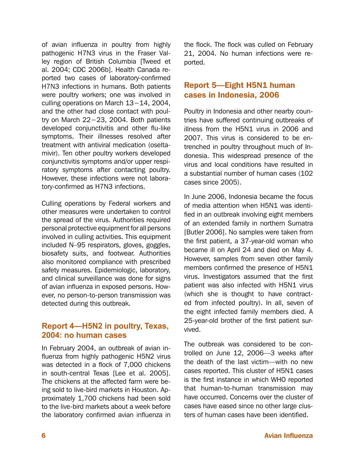of avian influenza in poultry from highly pathogenic H7N3 virus in the Fraser Valley region of British Columbia [Tweed et al. 2004; CDC 2006b]. Health Canada reported two cases of laboratory-confirmed H7N3 infections in humans. Both patients were poultry workers; one was involved in culling operations on March 13−14, 2004, and the other had close contact with poultry on March 22−23, 2004. Both patients developed conjunctivitis and other flu-like symptoms. Their illnesses resolved after treatment with antiviral medication (oseltamivir). Ten other poultry workers developed conjunctivitis symptoms and/or upper respiratory symptoms after contacting poultry. However, these infections were not laboratory-confirmed as H7N3 infections.

Culling operations by Federal workers and other measures were undertaken to control the spread of the virus. Authorities required personal protective equipment for all persons involved in culling activities. This equipment included N–95 respirators, gloves, goggles, biosafety suits, and footwear. Authorities also monitored compliance with prescribed safety measures. Epidemiologic, laboratory, and clinical surveillance was done for signs of avian influenza in exposed persons. However, no person-to-person transmission was detected during this outbreak.

# **Report 4—H5N2 in poultry, Texas, 2004: no human cases**

In February 2004, an outbreak of avian influenza from highly pathogenic H5N2 virus was detected in a flock of 7,000 chickens in south-central Texas [Lee et al. 2005]. The chickens at the affected farm were being sold to live-bird markets in Houston. Approximately 1,700 chickens had been sold to the live-bird markets about a week before the laboratory confirmed avian influenza in the flock. The flock was culled on February 21, 2004. No human infections were reported.

# Report 5—Eight H5N1 human cases in Indonesia, 2006

Poultry in Indonesia and other nearby countries have suffered continuing outbreaks of illness from the H5N1 virus in 2006 and 2007. This virus is considered to be entrenched in poultry throughout much of Indonesia. This widespread presence of the virus and local conditions have resulted in a substantial number of human cases (102 cases since 2005).

In June 2006, Indonesia became the focus of media attention when H5N1 was identified in an outbreak involving eight members of an extended family in northern Sumatra [Butler 2006]. No samples were taken from the first patient, a 37-year-old woman who became ill on April 24 and died on May 4. However, samples from seven other family members confirmed the presence of H5N1 virus. Investigators assumed that the first patient was also infected with H5N1 virus (which she is thought to have contracted from infected poultry). In all, seven of the eight infected family members died. A 25-year-old brother of the first patient survived.

The outbreak was considered to be controlled on June 12, 2006—3 weeks after the death of the last victim—with no new cases reported. This cluster of H5N1 cases is the first instance in which WHO reported that human-to-human transmission may have occurred. Concerns over the cluster of cases have eased since no other large clusters of human cases have been identified.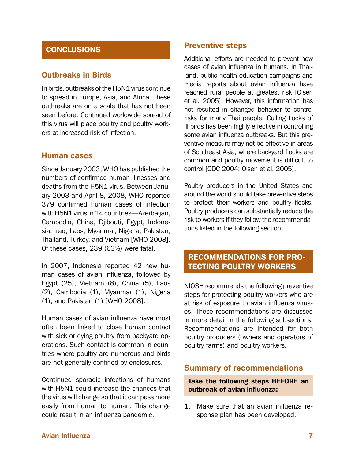# **CONCLUSIONS**

#### Outbreaks in Birds

In birds, outbreaks of the H5N1 virus continue to spread in Europe, Asia, and Africa. These outbreaks are on a scale that has not been seen before. Continued worldwide spread of this virus will place poultry and poultry workers at increased risk of infection.

#### Human cases

Since January 2003, WHO has published the numbers of confirmed human illnesses and deaths from the H5N1 virus. Between January 2003 and April 8, 2008, WHO reported 379 confirmed human cases of infection with H5N1 virus in 14 countries—Azerbaijan, Cambodia, China, Djibouti, Egypt, Indonesia, Iraq, Laos, Myanmar, Nigeria, Pakistan, Thailand, Turkey, and Vietnam [WHO 2008]. Of these cases, 239 (63%) were fatal.

In 2007, Indonesia reported 42 new human cases of avian influenza, followed by Egypt (25), Vietnam (8), China (5), Laos (2), Cambodia (1), Myanmar (1), Nigeria (1), and Pakistan (1) [WHO 2008].

Human cases of avian influenza have most often been linked to close human contact with sick or dying poultry from backyard operations. Such contact is common in countries where poultry are numerous and birds are not generally confined by enclosures.

Continued sporadic infections of humans with H5N1 could increase the chances that the virus will change so that it can pass more easily from human to human. This change could result in an influenza pandemic.

#### Preventive steps

Additional efforts are needed to prevent new cases of avian influenza in humans. In Thailand, public health education campaigns and media reports about avian influenza have reached rural people at greatest risk [Olsen et al. 2005]. However, this information has not resulted in changed behavior to control risks for many Thai people. Culling flocks of ill birds has been highly effective in controlling some avian influenza outbreaks. But this preventive measure may not be effective in areas of Southeast Asia, where backyard flocks are common and poultry movement is difficult to control [CDC 2004; Olsen et al. 2005].

Poultry producers in the United States and around the world should take preventive steps to protect their workers and poultry flocks. Poultry producers can substantially reduce the risk to workers if they follow the recommendations listed in the following section.

# RECOMMENDATIONS FOR PRO-TECTING POULTRY WORKERS

NIOSH recommends the following preventive steps for protecting poultry workers who are at risk of exposure to avian influenza viruses. These recommendations are discussed in more detail in the following subsections. Recommendations are intended for both poultry producers (owners and operators of poultry farms) and poultry workers.

#### **Summary of recommendations**

Take the following steps BEFORE an outbreak of avian influenza:

1. Make sure that an avian influenza response plan has been developed.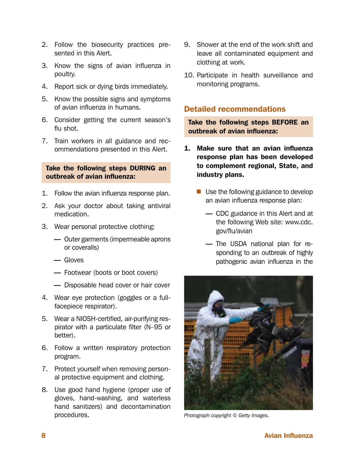- 2. Follow the biosecurity practices presented in this Alert.
- 3. Know the signs of avian influenza in poultry.
- 4. Report sick or dying birds immediately.
- 5. Know the possible signs and symptoms of avian influenza in humans.
- 6. Consider getting the current season's flu shot.
- 7. Train workers in all guidance and recommendations presented in this Alert.

#### Take the following steps DURING an outbreak of avian influenza:

- 1. Follow the avian influenza response plan.
- 2. Ask your doctor about taking antiviral medication.
- 3. Wear personal protective clothing:
	- Outer garments (impermeable aprons or coveralls)
	- Gloves
	- Footwear (boots or boot covers)
	- Disposable head cover or hair cover
- 4. Wear eye protection (goggles or a fullfacepiece respirator).
- 5. Wear a NIOSH-certified, air-purifying respirator with a particulate filter (N–95 or better).
- 6. Follow a written respiratory protection program.
- 7. Protect yourself when removing personal protective equipment and clothing.
- 8. Use good hand hygiene (proper use of gloves, hand-washing, and waterless hand sanitizers) and decontamination procedures.
- 9. Shower at the end of the work shift and leave all contaminated equipment and clothing at work.
- 10. Participate in health surveillance and monitoring programs.

#### Detailed recommendations

Take the following steps BEFORE an outbreak of avian influenza:

- 1. Make sure that an avian influenza response plan has been developed to complement regional, State, and industry plans.
	- Use the following guidance to develop an avian influenza response plan:
		- CDC guidance in this Alert and at the following Web site: [www.cdc.](http://www.CDC.gov/flu/avian) [gov/flu/avian](http://www.CDC.gov/flu/avian)
		- The USDA national plan for responding to an outbreak of highly pathogenic avian influenza in the



*Photograph copyright © Getty Images.*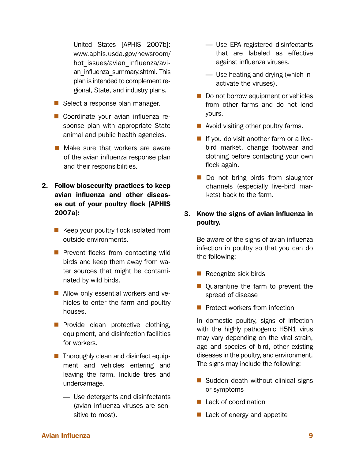United States [APHIS 2007b]: [www.aphis.usda.gov/newsroom/](http://www.aphis.usda.gov/newsroom/hot_issues/avian_influenza/avian_influenza_summary.shtml) hot issues/avian influenza/avian influenza summary.shtml. This plan is intended to complement regional, State, and industry plans.

- Select a response plan manager.
- Coordinate your avian influenza response plan with appropriate State animal and public health agencies.
- Make sure that workers are aware of the avian influenza response plan and their responsibilities.
- 2. Follow biosecurity practices to keep avian influenza and other diseases out of your poultry flock [APHIS 2007a]:
	- $\blacksquare$  Keep your poultry flock isolated from outside environments.
	- $\blacksquare$  Prevent flocks from contacting wild birds and keep them away from water sources that might be contaminated by wild birds.
	- Allow only essential workers and vehicles to enter the farm and poultry houses.
	- **Provide clean protective clothing,** equipment, and disinfection facilities for workers.
	- **Thoroughly clean and disinfect equip**ment and vehicles entering and leaving the farm. Include tires and undercarriage.
		- Use detergents and disinfectants (avian influenza viruses are sensitive to most).
- Use EPA-registered disinfectants that are labeled as effective against influenza viruses.
- Use heating and drying (which inactivate the viruses).
- Do not borrow equipment or vehicles from other farms and do not lend yours.
- Avoid visiting other poultry farms.
- $\blacksquare$  If you do visit another farm or a livebird market, change footwear and clothing before contacting your own flock again.
- Do not bring birds from slaughter channels (especially live-bird markets) back to the farm.

#### 3. Know the signs of avian influenza in poultry.

Be aware of the signs of avian influenza infection in poultry so that you can do the following:

- Recognize sick birds
- Quarantine the farm to prevent the spread of disease
- $\blacksquare$  Protect workers from infection

In domestic poultry, signs of infection with the highly pathogenic H5N1 virus may vary depending on the viral strain, age and species of bird, other existing diseases in the poultry, and environment. The signs may include the following:

- $\blacksquare$  Sudden death without clinical signs or symptoms
- Lack of coordination
- $\blacksquare$  Lack of energy and appetite

#### Avian Influenza 9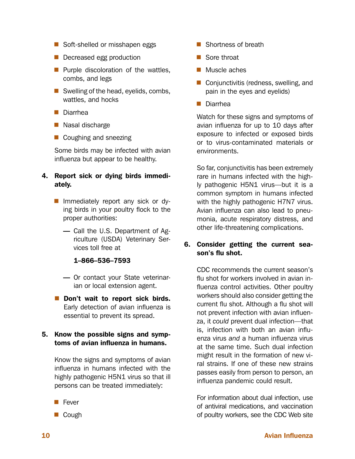- Soft-shelled or misshapen eggs
- Decreased egg production
- $\blacksquare$  Purple discoloration of the wattles, combs, and legs
- Swelling of the head, eyelids, combs, wattles, and hocks
- Diarrhea
- Nasal discharge
- Coughing and sneezing

Some birds may be infected with avian influenza but appear to be healthy.

#### 4. Report sick or dying birds immediately.

- Immediately report any sick or dying birds in your poultry flock to the proper authorities:
	- Call the U.S. Department of Agriculture (USDA) Veterinary Services toll free at

#### 1–866–536–7593

- Or contact your State veterinarian or local extension agent.
- Don't wait to report sick birds. Early detection of avian influenza is essential to prevent its spread.

#### 5. Know the possible signs and symptoms of avian influenza in humans.

Know the signs and symptoms of avian influenza in humans infected with the highly pathogenic H5N1 virus so that ill persons can be treated immediately:

- Fever
- Cough
- Shortness of breath
- Sore throat
- **Muscle aches**
- Conjunctivitis (redness, swelling, and pain in the eyes and eyelids)
- Diarrhea

Watch for these signs and symptoms of avian influenza for up to 10 days after exposure to infected or exposed birds or to virus-contaminated materials or environments.

So far, conjunctivitis has been extremely rare in humans infected with the highly pathogenic H5N1 virus—but it is a common symptom in humans infected with the highly pathogenic H7N7 virus. Avian influenza can also lead to pneumonia, acute respiratory distress, and other life-threatening complications.

#### 6. Consider getting the current season's flu shot.

CDC recommends the current season's flu shot for workers involved in avian influenza control activities. Other poultry workers should also consider getting the current flu shot. Although a flu shot will not prevent infection with avian influenza, it *could* prevent dual infection—that is, infection with both an avian influenza virus *and* a human influenza virus at the same time. Such dual infection might result in the formation of new viral strains. If one of these new strains passes easily from person to person, an influenza pandemic could result.

For information about dual infection, use of antiviral medications, and vaccination of poultry workers, see the CDC Web site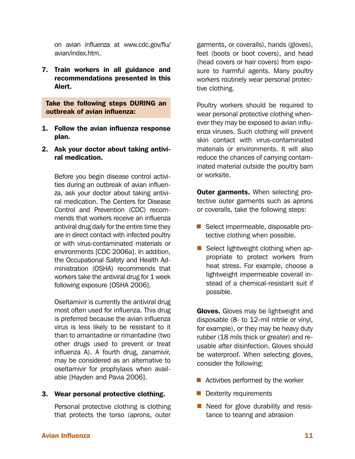on avian influenza at [www.cdc.gov/flu/](http://www.cdc.gov/flu/avian/index.htm) [avian/index.htm.](http://www.cdc.gov/flu/avian/index.htm)

7. Train workers in all guidance and recommendations presented in this Alert.

Take the following steps DURING an outbreak of avian influenza:

- 1. Follow the avian influenza response plan.
- 2. Ask your doctor about taking antiviral medication.

Before you begin disease control activities during an outbreak of avian influenza, ask your doctor about taking antiviral medication. The Centers for Disease Control and Prevention (CDC) recommends that workers receive an influenza antiviral drug daily for the entire time they are in direct contact with infected poultry or with virus-contaminated materials or environments [CDC 2006a]. In addition, the Occupational Safety and Health Administration (OSHA) recommends that workers take the antiviral drug for 1 week following exposure [OSHA 2006].

Oseltamivir is currently the antiviral drug most often used for influenza. This drug is preferred because the avian influenza virus is less likely to be resistant to it than to amantadine or rimantadine (two other drugs used to prevent or treat influenza A). A fourth drug, zanamivir, may be considered as an alternative to oseltamivir for prophylaxis when available [Hayden and Pavia 2006].

#### 3. Wear personal protective clothing.

Personal protective clothing is clothing that protects the torso (aprons, outer

garments, or coveralls), hands (gloves), feet (boots or boot covers), and head (head covers or hair covers) from exposure to harmful agents. Many poultry workers routinely wear personal protective clothing.

Poultry workers should be required to wear personal protective clothing whenever they may be exposed to avian influenza viruses. Such clothing will prevent skin contact with virus-contaminated materials or environments. It will also reduce the chances of carrying contaminated material outside the poultry barn or worksite.

**Outer garments.** When selecting protective outer garments such as aprons or coveralls, take the following steps:

- Select impermeable, disposable protective clothing when possible.
- Select lightweight clothing when appropriate to protect workers from heat stress. For example, choose a lightweight impermeable coverall instead of a chemical-resistant suit if possible.

Gloves. Gloves may be lightweight and disposable (8- to 12-mil nitrile or vinyl, for example), or they may be heavy duty rubber (18 mils thick or greater) and reusable after disinfection. Gloves should be waterproof. When selecting gloves, consider the following:

- $\blacksquare$  Activities performed by the worker
- **Dexterity requirements**
- $\blacksquare$  Need for glove durability and resistance to tearing and abrasion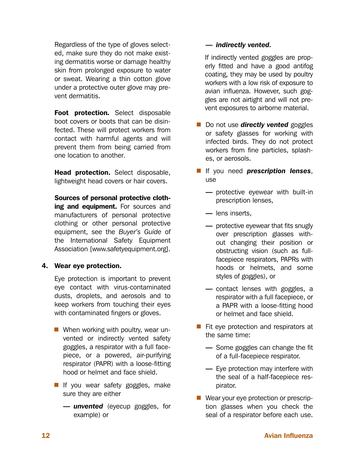Regardless of the type of gloves selected, make sure they do not make existing dermatitis worse or damage healthy skin from prolonged exposure to water or sweat. Wearing a thin cotton glove under a protective outer glove may prevent dermatitis.

Foot protection*.* Select disposable boot covers or boots that can be disinfected. These will protect workers from contact with harmful agents and will prevent them from being carried from one location to another.

Head protection. Select disposable, lightweight head covers or hair covers.

Sources of personal protective clothing and equipment. For sources and manufacturers of personal protective clothing or other personal protective equipment, see the *Buyer's Guide* of the International Safety Equipment Association [www.safetyequipment.org].

#### 4. Wear eye protection.

Eye protection is important to prevent eye contact with virus-contaminated dusts, droplets, and aerosols and to keep workers from touching their eyes with contaminated fingers or gloves.

- **When working with poultry, wear un**vented or indirectly vented safety goggles, a respirator with a full facepiece, or a powered, air-purifying respirator (PAPR) with a loose-fitting hood or helmet and face shield.
- If you wear safety goggles, make sure they are either
	- *unvented* (eyecup goggles, for example) or

#### — *indirectly vented.*

If indirectly vented goggles are properly fitted and have a good antifog coating, they may be used by poultry workers with a low risk of exposure to avian influenza. However, such goggles are not airtight and will not prevent exposures to airborne material.

- **Do not use** *directly vented* goggles or safety glasses for working with infected birds. They do not protect workers from fine particles, splashes, or aerosols.
- **If** you need **prescription lenses**, use
	- protective eyewear with built-in prescription lenses,
	- lens inserts,
	- protective eyewear that fits snugly over prescription glasses without changing their position or obstructing vision (such as fullfacepiece respirators, PAPRs with hoods or helmets, and some styles of goggles), or
	- contact lenses with goggles, a respirator with a full facepiece, or a PAPR with a loose-fitting hood or helmet and face shield.
- $\blacksquare$  Fit eye protection and respirators at the same time:
	- Some goggles can change the fit of a full-facepiece respirator.
	- Eye protection may interfere with the seal of a half-facepiece respirator.
- Wear your eye protection or prescription glasses when you check the seal of a respirator before each use.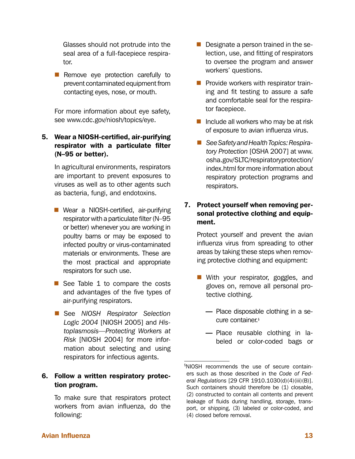Glasses should not protrude into the seal area of a full-facepiece respirator.

 $\blacksquare$  Remove eye protection carefully to prevent contaminated equipment from contacting eyes, nose, or mouth.

For more information about eye safety, see [www.cdc.gov/niosh/topics/eye.](http://www.cdc.gov/niosh/topics/eye)

5. Wear a NIOSH-certified, air-purifying respirator with a particulate filter (N–95 or better).

In agricultural environments, respirators are important to prevent exposures to viruses as well as to other agents such as bacteria, fungi, and endotoxins.

- Wear a NIOSH-certified, air-purifying respirator with a particulate filter (N–95 or better) whenever you are working in poultry barns or may be exposed to infected poultry or virus-contaminated materials or environments. These are the most practical and appropriate respirators for such use.
- See Table 1 to compare the costs and advantages of the five types of air-purifying respirators.
- See *NIOSH Respirator Selection Logic 2004* [NIOSH 2005] and *Histoplasmosis—Protecting Workers at Risk* [NIOSH 2004] for more information about selecting and using respirators for infectious agents.

#### 6. Follow a written respiratory protection program.

To make sure that respirators protect workers from avian influenza, do the following:

- Designate a person trained in the selection, use, and fitting of respirators to oversee the program and answer workers' questions.
- **Provide workers with respirator train**ing and fit testing to assure a safe and comfortable seal for the respirator facepiece.
- Include all workers who may be at risk of exposure to avian influenza virus.
- *See Safety and Health Topics: Respiratory Protection* [OSHA 2007] at [www.](http://www.osha.gov/SLTC/respiratoryprotection/index.html) [osha.gov/SLTC/respiratoryprotection/](http://www.osha.gov/SLTC/respiratoryprotection/index.html) [index.html](http://www.osha.gov/SLTC/respiratoryprotection/index.html) for more information about respiratory protection programs and respirators.

#### 7. Protect yourself when removing personal protective clothing and equipment.

Protect yourself and prevent the avian influenza virus from spreading to other areas by taking these steps when removing protective clothing and equipment:

- With your respirator, goggles, and gloves on, remove all personal protective clothing.
	- Place disposable clothing in a secure container.§
	- Place reusable clothing in labeled or color-coded bags or

<sup>§</sup> NIOSH recommends the use of secure containers such as those described in the *Code of Federal Regulations* [29 CFR 1910.1030(d)(4)(iii)(B)]. Such containers should therefore be (1) closable, (2) constructed to contain all contents and prevent leakage of fluids during handling, storage, transport, or shipping, (3) labeled or color-coded, and (4) closed before removal.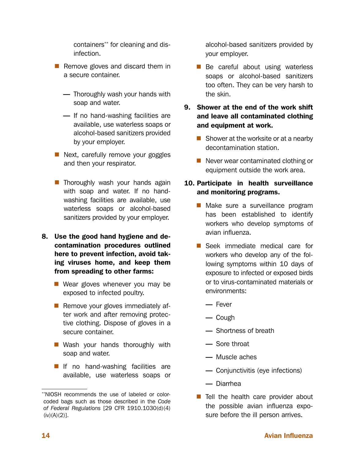containers\*\* for cleaning and disinfection.

- Remove gloves and discard them in a secure container.
	- Thoroughly wash your hands with soap and water.
	- If no hand-washing facilities are available, use waterless soaps or alcohol-based sanitizers provided by your employer.
- Next, carefully remove your goggles and then your respirator.
- **Thoroughly wash your hands again** with soap and water. If no handwashing facilities are available, use waterless soaps or alcohol-based sanitizers provided by your employer.
- 8. Use the good hand hygiene and decontamination procedures outlined here to prevent infection, avoid taking viruses home, and keep them from spreading to other farms:
	- Wear gloves whenever you may be exposed to infected poultry.
	- $\blacksquare$  Remove your gloves immediately after work and after removing protective clothing. Dispose of gloves in a secure container.
	- Wash your hands thoroughly with soap and water.
	- **If** If no hand-washing facilities are available, use waterless soaps or

alcohol-based sanitizers provided by your employer.

- **Be careful about using waterless** soaps or alcohol-based sanitizers too often. They can be very harsh to the skin.
- 9. Shower at the end of the work shift and leave all contaminated clothing and equipment at work.
	- $\blacksquare$  Shower at the worksite or at a nearby decontamination station.
	- $\blacksquare$  Never wear contaminated clothing or equipment outside the work area.

#### 10. Participate in health surveillance and monitoring programs.

- **Make sure a surveillance program** has been established to identify workers who develop symptoms of avian influenza.
- Seek immediate medical care for workers who develop any of the following symptoms within 10 days of exposure to infected or exposed birds or to virus-contaminated materials or environments:
	- Fever
	- Cough
	- Shortness of breath
	- Sore throat
	- Muscle aches
	- Conjunctivitis (eye infections)
	- Diarrhea
- Tell the health care provider about the possible avian influenza exposure before the ill person arrives.

<sup>\*\*</sup>NIOSH recommends the use of labeled or colorcoded bags such as those described in the *Code of Federal Regulations* [29 CFR 1910.1030(d)(4)  $(iv)(A)(2)$ ].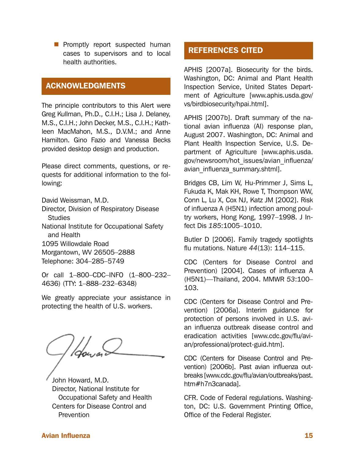**Promptly report suspected human** cases to supervisors and to local health authorities.

### ACKNOWLEDGMENTS

The principle contributors to this Alert were Greg Kullman, Ph.D., C.I.H.; Lisa J. Delaney, M.S., C.I.H.; John Decker, M.S., C.I.H.; Kathleen MacMahon, M.S., D.V.M.; and Anne Hamilton. Gino Fazio and Vanessa Becks provided desktop design and production.

Please direct comments, questions, or requests for additional information to the following:

David Weissman, M.D.

Director, Division of Respiratory Disease **Studies** 

National Institute for Occupational Safety and Health

1095 Willowdale Road

Morgantown, WV 26505–2888

Telephone: 304–285–5749

Or call 1–800–CDC–INFO (1–800–232– 4636) (TTY: 1–888–232–6348)

We greatly appreciate your assistance in protecting the health of U.S. workers.

John Howard, M.D. Director, National Institute for Occupational Safety and Health Centers for Disease Control and **Prevention** 

# REFERENCES CITED

APHIS [2007a]. Biosecurity for the birds. Washington, DC: Animal and Plant Health Inspection Service, United States Department of Agriculture [\[www.aphis.usda.gov/](http://www.aphis.usda.gov/vs/birdbiosecurity/hpai.html) [vs/birdbiosecurity/hpai.html](http://www.aphis.usda.gov/vs/birdbiosecurity/hpai.html)].

APHIS [2007b]. Draft summary of the national avian influenza (AI) response plan, August 2007. Washington, DC: Animal and Plant Health Inspection Service, U.S. Department of Agriculture [[www.aphis.usda.](http://www.aphis.usda.gov/newsroom/hot_issues/avian_influenza/avian_influenza_summary.shtml) [gov/newsroom/hot\\_issues/avian\\_influenza/](http://www.aphis.usda.gov/newsroom/hot_issues/avian_influenza/avian_influenza_summary.shtml) avian influenza summary.shtml].

Bridges CB, Lim W, Hu-Primmer J, Sims L, Fukuda K, Mak KH, Rowe T, Thompson WW, Conn L, Lu X, Cox NJ, Katz JM [2002]. Risk of influenza A (H5N1) infection among poultry workers, Hong Kong, 1997–1998. J Infect Dis *185*:1005–1010.

Butler D [2006]. Family tragedy spotlights flu mutations. Nature *44*(13): 114–115.

CDC (Centers for Disease Control and Prevention) [2004]. Cases of influenza A (H5N1)—Thailand, 2004. MMWR *53*:100– 103.

CDC (Centers for Disease Control and Prevention) [2006a]. Interim guidance for protection of persons involved in U.S. avian influenza outbreak disease control and eradication activities [www.cdc.gov/flu/avian/professional/protect-guid.htm].

CDC (Centers for Disease Control and Prevention) [2006b]. Past avian influenza outbreaks [\[www.cdc.gov/flu/avian/outbreaks/past.](http://www.cdc.gov/flu/avian/outbreaks/past.htm#h7n3canada) [htm#h7n3canada](http://www.cdc.gov/flu/avian/outbreaks/past.htm#h7n3canada)].

CFR. Code of Federal regulations. Washington, DC: U.S. Government Printing Office, Office of the Federal Register.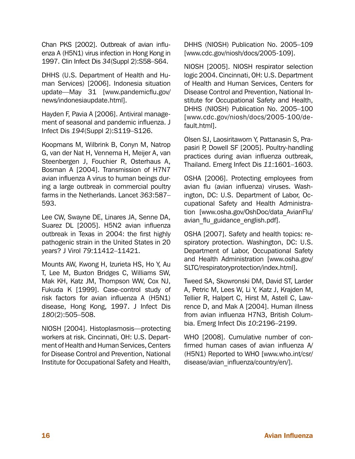Chan PKS [2002]. Outbreak of avian influenza A (H5N1) virus infection in Hong Kong in 1997. Clin Infect Dis *34*(Suppl 2):S58–S64.

DHHS (U.S. Department of Health and Human Services) [2006]. Indonesia situation update—May 31 [www.pandemicflu.gov/ news/indonesiaupdate.html].

Hayden F, Pavia A [2006]. Antiviral management of seasonal and pandemic influenza. J Infect Dis *194*(Suppl 2):S119–S126.

Koopmans M, Wilbrink B, Conyn M, Natrop G, van der Nat H, Vennema H, Meijer A, van Steenbergen J, Fouchier R, Osterhaus A, Bosman A [2004]. Transmission of H7N7 avian influenza A virus to human beings during a large outbreak in commercial poultry farms in the Netherlands. Lancet *363*:587– 593.

Lee CW, Swayne DE, Linares JA, Senne DA, Suarez DL [2005]. H5N2 avian influenza outbreak in Texas in 2004: the first highly pathogenic strain in the United States in 20 years? J Virol *79*:11412–11421.

Mounts AW, Kwong H, Izurieta HS, Ho Y, Au T, Lee M, Buxton Bridges C, Williams SW, Mak KH, Katz JM, Thompson WW, Cox NJ, Fukuda K [1999]. Case-control study of risk factors for avian influenza A (H5N1) disease, Hong Kong, 1997. J Infect Dis *180*(2):505–508.

NIOSH [2004]. Histoplasmosis—protecting workers at risk. Cincinnati, OH: U.S. Department of Health and Human Services, Centers for Disease Control and Prevention, National Institute for Occupational Safety and Health, DHHS (NIOSH) Publication No. 2005–109 [[www.cdc.gov/niosh/docs/2005-109](http://www.cdc.gov/niosh/docs/2005-109)].

NIOSH [2005]. NIOSH respirator selection logic 2004. Cincinnati, OH: U.S. Department of Health and Human Services, Centers for Disease Control and Prevention, National Institute for Occupational Safety and Health, DHHS (NIOSH) Publication No. 2005–100 [www.cdc.gov/niosh/docs/2005-100/default.html].

Olsen SJ, Laosiritaworn Y, Pattanasin S, Prapasiri P, Dowell SF [2005]. Poultry-handling practices during avian influenza outbreak, Thailand. Emerg Infect Dis *11*:1601–1603.

OSHA [2006]. Protecting employees from avian flu (avian influenza) viruses. Washington, DC: U.S. Department of Labor, Occupational Safety and Health Administration [[www.osha.gov/OshDoc/data\\_AvianFlu/](http://www.osha.gov/OshDoc/data_AvianFlu/avian_flu_guidance_english.pdf) avian flu guidance english.pdf].

OSHA [2007]. Safety and health topics: respiratory protection. Washington, DC: U.S. Department of Labor, Occupational Safety and Health Administration [[www.osha.gov/](http://www.osha.gov/SLTC/respiratoryprotection/index.html) [SLTC/respiratoryprotection/index.html\]](http://www.osha.gov/SLTC/respiratoryprotection/index.html).

Tweed SA, Skowronski DM, David ST, Larder A, Petric M, Lees W, Li Y, Katz J, Krajden M, Tellier R, Halpert C, Hirst M, Astell C, Lawrence D, and Mak A [2004]. Human illness from avian influenza H7N3, British Columbia. Emerg Infect Dis *10*:2196–2199.

WHO [2008]. Cumulative number of confirmed human cases of avian influenza A/ (H5N1) Reported to WHO [www.who.int/csr/ disease/avian\_influenza/country/en/].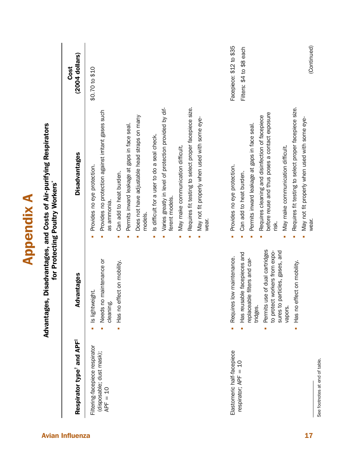|                                                                          |                                                                                                                                                                                                                                     | Advantages, Disadvantages, and Costs of Air-purifying Respirators<br>for Protecting Poultry Workers*                                                                                                                                                                                                                                                                                                                                                                                                                      |                                                     |
|--------------------------------------------------------------------------|-------------------------------------------------------------------------------------------------------------------------------------------------------------------------------------------------------------------------------------|---------------------------------------------------------------------------------------------------------------------------------------------------------------------------------------------------------------------------------------------------------------------------------------------------------------------------------------------------------------------------------------------------------------------------------------------------------------------------------------------------------------------------|-----------------------------------------------------|
| Respirator type <sup>t</sup> and APF <sup>#</sup>                        | Advantages                                                                                                                                                                                                                          | <b>Disadvantages</b>                                                                                                                                                                                                                                                                                                                                                                                                                                                                                                      | $(2004$ dollars)<br>Cost                            |
| Filtering-facepiece respirator<br>(disposable; dust mask);<br>$APF = 10$ | Needs no maintenance or<br>Has no effect on mobility.<br>Is lightweight.<br>cleaning                                                                                                                                                | Requires fit testing to select proper facepiece size.<br>Varies greatly in level of protection provided by dif-<br>Provides no protection against irritant gases such<br>Does not have adjustable head straps on many<br>May not fit properly when used with some eye-<br>Permits inward leakage at gaps in face seal.<br>Is difficult for a user to do a seal check.<br>May make communication difficult.<br>Provides no eye protection.<br>Can add to heat burden.<br>ferent models.<br>as ammonia.<br>models.<br>wear. | \$0.70 to \$10                                      |
| Elastomeric half-facepiece<br>respirator; APF = 10                       | use of dual cartridges<br>particles, gases, and<br>to protect workers from expo-<br>Has reusable facepieces and<br>Requires low maintenance.<br>ble filters and car-<br>eplacea<br>sures to<br>Permits<br>tridges.<br>vapors.<br>Ĩ. | Requires fit testing to select proper facepiece size.<br>before reuse and thus poses a contact exposure<br>Requires cleaning and disinfection of facepiece<br>Permits inward leakage at gaps in face seal.<br>May make communication difficult.<br>Provides no eye protection.<br>Can add to heat burden.<br>risk.<br>Ì,                                                                                                                                                                                                  | Facepiece: \$12 to \$35<br>Filters: \$4 to \$8 each |
|                                                                          | Has no effect on mobility.<br>Ĥ,                                                                                                                                                                                                    | May not fit properly when used with some eye-<br>wear.                                                                                                                                                                                                                                                                                                                                                                                                                                                                    | (Continued)                                         |

Appendix A

**Appendix A**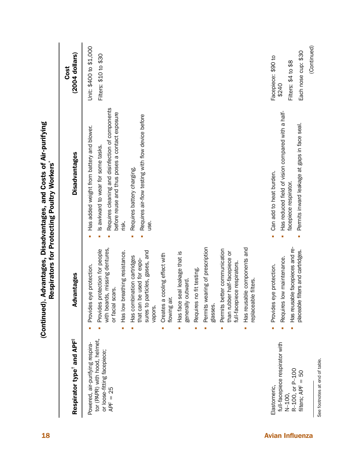|                        |                                                                            |                                                                                                          |                                                                                                                                               | Cost                   |
|------------------------|----------------------------------------------------------------------------|----------------------------------------------------------------------------------------------------------|-----------------------------------------------------------------------------------------------------------------------------------------------|------------------------|
|                        | Respirator type <sup>t</sup> and APF <sup>‡</sup>                          | Advantages                                                                                               | <b>Disadvantages</b>                                                                                                                          | $(2004$ dollars)       |
|                        | Powered, air-purifying respira-                                            | eye protection.<br>Provides                                                                              | Has added weight from battery and blower.                                                                                                     | Unit: \$400 to \$1,000 |
|                        | tor (PAPR) with hood, helmet,<br>or loose-fitting facepiece;<br>$APF = 25$ | with beards, missing dentures,<br>Provides protection for people<br>scars.<br>or facial                  | Requires cleaning and disinfection of components<br>before reuse and thus poses a contact exposure<br>Is awkward to wear for some tasks.<br>× | Filters: \$10 to \$30  |
|                        |                                                                            | breathing resistance.<br>Has low<br>٠                                                                    | risk.                                                                                                                                         |                        |
|                        |                                                                            | particles, gases, and<br>Has combination cartridges<br>that can be used for expo-<br>sures to<br>vapors. | Requires air-flow testing with flow device before<br>Requires battery charging.<br>use.                                                       |                        |
|                        |                                                                            | Creates a cooling effect with<br>flowing air.<br>à,                                                      |                                                                                                                                               |                        |
|                        |                                                                            | seal leakage that is<br>outward.<br>Has face<br>generally<br>Ì.                                          |                                                                                                                                               |                        |
|                        |                                                                            | Requires no fit testing.<br>û,                                                                           |                                                                                                                                               |                        |
|                        |                                                                            | Permits wearing of prescription<br>glasses.                                                              |                                                                                                                                               |                        |
|                        |                                                                            | Permits better communication<br>than rubber half-facepiece or<br>full-facepiece respirators.             |                                                                                                                                               |                        |
|                        |                                                                            | Has reusable components and<br>replaceable filters.                                                      |                                                                                                                                               |                        |
| <b>Avian Influenza</b> | Elastomeric.                                                               | Provides eye protection.                                                                                 | Can add to heat burden.<br>×                                                                                                                  | Facepiece: \$90 to     |
|                        | full-facepiece respirator with                                             | Requires low maintenance.                                                                                | Has reduced field of vision compared with a half-                                                                                             | \$240                  |
|                        | R-100, or P-100<br>N-100,                                                  | Has reusable facepieces and re-                                                                          | facepiece respirator.                                                                                                                         | Filters: \$4 to \$8    |
|                        | βG<br>filters; $APF =$                                                     | placeable filters and cartridges.                                                                        | Permits inward leakage at gaps in face seal.                                                                                                  | Each nose cup: \$30    |
|                        |                                                                            |                                                                                                          |                                                                                                                                               | (Continued)            |

See footnotes at end of table. See footnotes at end of table.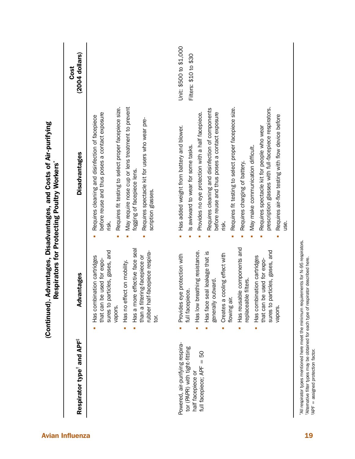| Respirator type <sup>t</sup> and APF <sup>#</sup>                                                                    | Advantages                                                                                                                                                                                                                                                                                                                                                             | <b>Disadvantages</b>                                                                                                                                                                                                                                                                                                                                                                                                                                                                                                                                   | $(2004$ dollars)<br>Cost                        |
|----------------------------------------------------------------------------------------------------------------------|------------------------------------------------------------------------------------------------------------------------------------------------------------------------------------------------------------------------------------------------------------------------------------------------------------------------------------------------------------------------|--------------------------------------------------------------------------------------------------------------------------------------------------------------------------------------------------------------------------------------------------------------------------------------------------------------------------------------------------------------------------------------------------------------------------------------------------------------------------------------------------------------------------------------------------------|-------------------------------------------------|
|                                                                                                                      | Has a more effective face seal<br>sures to particles, gases, and<br>rubber half-facepiece respira-<br>Has combination cartridges<br>than a filtering-facepiece or<br>be used for expo-<br>Has no effect on mobility.<br>that can b<br>vapors.<br>tor.<br>Ė<br>I.                                                                                                       | May require nose cup or lens treatment to prevent<br>Requires fit testing to select proper facepiece size.<br>before reuse and thus poses a contact exposure<br>Requires cleaning and disinfection of facepiece<br>Requires spectacle kit for users who wear pre-<br>fogging of facepiece lens.<br>scription glasses.<br>risk.                                                                                                                                                                                                                         |                                                 |
| Powered, air-purifying respira-<br>tor (PAPR) with tight-fitting<br>50<br>full facepiece; APF =<br>half facepiece or | Has reusable components and<br>sures to particles, gases, and<br>Has low breathing resistance.<br>seal leakage that is<br>Creates a cooling effect with<br>Provides eye protection with<br>Has combination cartridges<br>be used for expo-<br>outward.<br>replaceable filters.<br>full facepiece.<br>generally<br>flowing ai<br>that can I<br>Has face<br>vapors.<br>× | Requires fit testing to select proper facepiece size.<br>prescription glasses with full-facepiece respirators.<br>Requires cleaning and disinfection of components<br>before reuse and thus poses a contact exposure<br>Provides no eye protection with a half facepiece.<br>Requires air-flow testing with flow device before<br>Has added weight from battery and blower.<br>Requires spectacle kit for people who wear<br>May make communication difficult.<br>Is awkward to wear for some tasks.<br>Requires charging of battery.<br>risk.<br>use. | Unit: \$500 to \$1,000<br>Filters: \$10 to \$30 |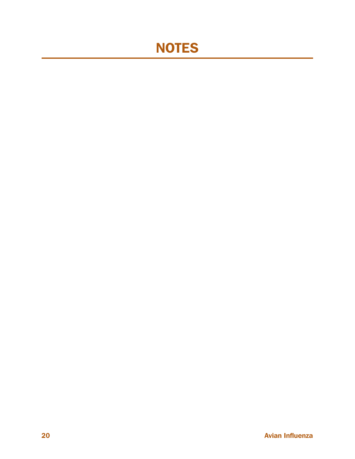# NOTES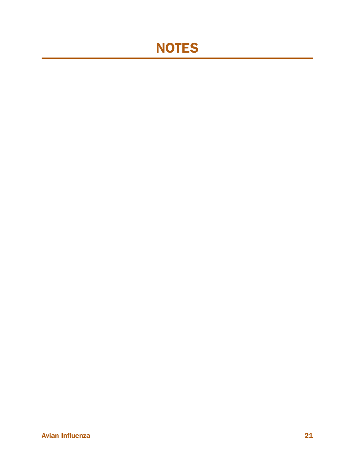# NOTES